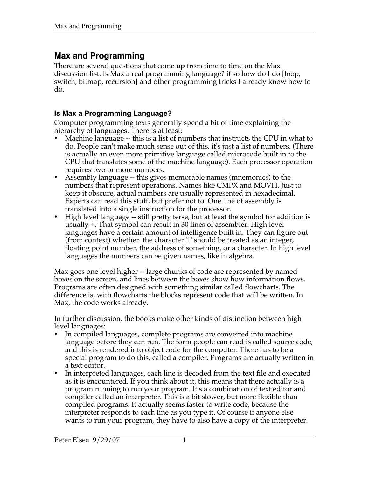# **Max and Programming**

There are several questions that come up from time to time on the Max discussion list. Is Max a real programming language? if so how do I do [loop, switch, bitmap, recursion] and other programming tricks I already know how to do.

## **Is Max a Programming Language?**

Computer programming texts generally spend a bit of time explaining the hierarchy of languages. There is at least:

- Machine language -- this is a list of numbers that instructs the CPU in what to do. People can't make much sense out of this, it's just a list of numbers. (There is actually an even more primitive language called microcode built in to the CPU that translates some of the machine language). Each processor operation requires two or more numbers.
- Assembly language -- this gives memorable names (mnemonics) to the numbers that represent operations. Names like CMPX and MOVH. Just to keep it obscure, actual numbers are usually represented in hexadecimal. Experts can read this stuff, but prefer not to. One line of assembly is translated into a single instruction for the processor.
- High level language -- still pretty terse, but at least the symbol for addition is usually +. That symbol can result in 30 lines of assembler. High level languages have a certain amount of intelligence built in. They can figure out (from context) whether the character '1' should be treated as an integer, floating point number, the address of something, or a character. In high level languages the numbers can be given names, like in algebra.

Max goes one level higher -- large chunks of code are represented by named boxes on the screen, and lines between the boxes show how information flows. Programs are often designed with something similar called flowcharts. The difference is, with flowcharts the blocks represent code that will be written. In Max, the code works already.

In further discussion, the books make other kinds of distinction between high level languages:

- In compiled languages, complete programs are converted into machine language before they can run. The form people can read is called source code, and this is rendered into object code for the computer. There has to be a special program to do this, called a compiler. Programs are actually written in a text editor.
- In interpreted languages, each line is decoded from the text file and executed as it is encountered. If you think about it, this means that there actually is a program running to run your program. It's a combination of text editor and compiler called an interpreter. This is a bit slower, but more flexible than compiled programs. It actually seems faster to write code, because the interpreter responds to each line as you type it. Of course if anyone else wants to run your program, they have to also have a copy of the interpreter.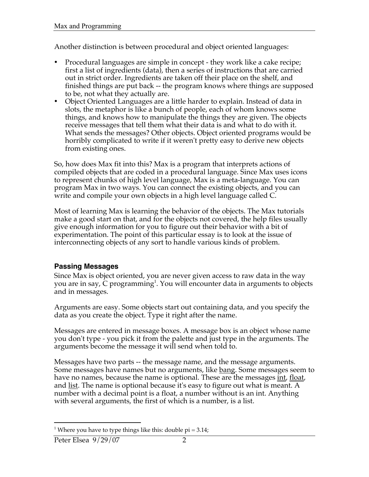Another distinction is between procedural and object oriented languages:

- Procedural languages are simple in concept they work like a cake recipe; first a list of ingredients (data), then a series of instructions that are carried out in strict order. Ingredients are taken off their place on the shelf, and finished things are put back -- the program knows where things are supposed to be, not what they actually are.
- Object Oriented Languages are a little harder to explain. Instead of data in slots, the metaphor is like a bunch of people, each of whom knows some things, and knows how to manipulate the things they are given. The objects receive messages that tell them what their data is and what to do with it. What sends the messages? Other objects. Object oriented programs would be horribly complicated to write if it weren't pretty easy to derive new objects from existing ones.

So, how does Max fit into this? Max is a program that interprets actions of compiled objects that are coded in a procedural language. Since Max uses icons to represent chunks of high level language, Max is a meta-language. You can program Max in two ways. You can connect the existing objects, and you can write and compile your own objects in a high level language called C.

Most of learning Max is learning the behavior of the objects. The Max tutorials make a good start on that, and for the objects not covered, the help files usually give enough information for you to figure out their behavior with a bit of experimentation. The point of this particular essay is to look at the issue of interconnecting objects of any sort to handle various kinds of problem.

# **Passing Messages**

Since Max is object oriented, you are never given access to raw data in the way you are in say,  $C$  programming<sup>1</sup>. You will encounter data in arguments to objects and in messages.

Arguments are easy. Some objects start out containing data, and you specify the data as you create the object. Type it right after the name.

Messages are entered in message boxes. A message box is an object whose name you don't type - you pick it from the palette and just type in the arguments. The arguments become the message it will send when told to.

Messages have two parts -- the message name, and the message arguments. Some messages have names but no arguments, like <u>bang</u>. Some messages seem to have no names, because the name is optional. These are the messages int, float, and <u>list</u>. The name is optional because it's easy to figure out what is meant. A number with a decimal point is a float, a number without is an int. Anything with several arguments, the first of which is a number, is a list.

 $\overline{a}$ <sup>1</sup> Where you have to type things like this: double pi =  $3.14$ ;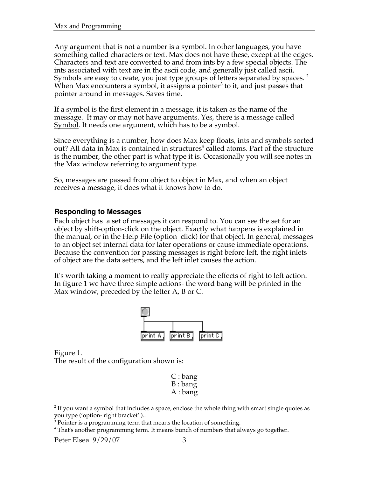Any argument that is not a number is a symbol. In other languages, you have something called characters or text. Max does not have these, except at the edges. Characters and text are converted to and from ints by a few special objects. The ints associated with text are in the ascii code, and generally just called ascii. Symbols are easy to create, you just type groups of letters separated by spaces.  $2$ When Max encounters a symbol, it assigns a pointer<sup>3</sup> to it, and just passes that pointer around in messages. Saves time.

If a symbol is the first element in a message, it is taken as the name of the message. It may or may not have arguments. Yes, there is a message called Symbol. It needs one argument, which has to be a symbol.

Since everything is a number, how does Max keep floats, ints and symbols sorted out? All data in Max is contained in structures $^4$  called atoms. Part of the structure is the number, the other part is what type it is. Occasionally you will see notes in the Max window referring to argument type.

So, messages are passed from object to object in Max, and when an object receives a message, it does what it knows how to do.

#### **Responding to Messages**

Each object has a set of messages it can respond to. You can see the set for an object by shift-option-click on the object. Exactly what happens is explained in the manual, or in the Help File (option click) for that object. In general, messages to an object set internal data for later operations or cause immediate operations. Because the convention for passing messages is right before left, the right inlets of object are the data setters, and the left inlet causes the action.

It's worth taking a moment to really appreciate the effects of right to left action. In figure 1 we have three simple actions- the word bang will be printed in the Max window, preceded by the letter A, B or C.



Figure 1.

 $\overline{a}$ 

The result of the configuration shown is:

| $C:$ bang |
|-----------|
| B: bang   |
| A : bang  |

 $^2$  If you want a symbol that includes a space, enclose the whole thing with smart single quotes as you type ('option- right bracket' )..

 $3$  Pointer is a programming term that means the location of something.

<sup>&</sup>lt;sup>4</sup> That's another programming term. It means bunch of numbers that always go together.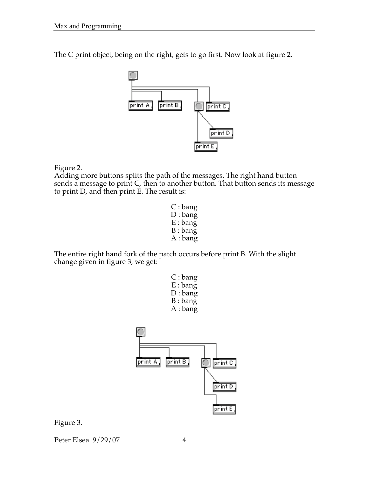The C print object, being on the right, gets to go first. Now look at figure 2.



Figure 2.

Adding more buttons splits the path of the messages. The right hand button sends a message to print C, then to another button. That button sends its message to print D, and then print E. The result is:

> C : bang D : bang E : bang B : bang A : bang

The entire right hand fork of the patch occurs before print B. With the slight change given in figure 3, we get:

| C : bang   |
|------------|
| $E :$ bang |
| D: bang    |
| B: bang    |
| A : bang   |



Figure 3.

Peter Elsea 9/29/07 4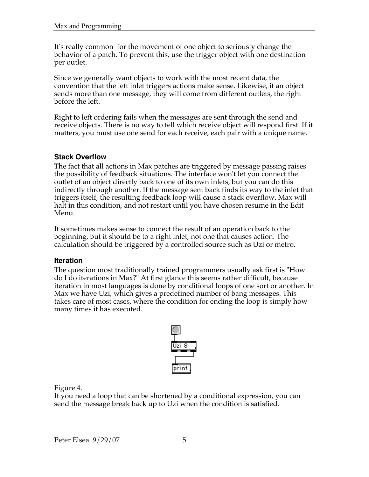It's really common for the movement of one object to seriously change the behavior of a patch. To prevent this, use the trigger object with one destination per outlet.

Since we generally want objects to work with the most recent data, the convention that the left inlet triggers actions make sense. Likewise, if an object sends more than one message, they will come from different outlets, the right before the left.

Right to left ordering fails when the messages are sent through the send and receive objects. There is no way to tell which receive object will respond first. If it matters, you must use one send for each receive, each pair with a unique name.

## **Stack Overflow**

The fact that all actions in Max patches are triggered by message passing raises the possibility of feedback situations. The interface won't let you connect the outlet of an object directly back to one of its own inlets, but you can do this indirectly through another. If the message sent back finds its way to the inlet that triggers itself, the resulting feedback loop will cause a stack overflow. Max will halt in this condition, and not restart until you have chosen resume in the Edit Menu.

It sometimes makes sense to connect the result of an operation back to the beginning, but it should be to a right inlet, not one that causes action. The calculation should be triggered by a controlled source such as Uzi or metro.

#### **Iteration**

The question most traditionally trained programmers usually ask first is "How do I do iterations in Max?" At first glance this seems rather difficult, because iteration in most languages is done by conditional loops of one sort or another. In Max we have Uzi, which gives a predefined number of bang messages. This takes care of most cases, where the condition for ending the loop is simply how many times it has executed.



Figure 4.

If you need a loop that can be shortened by a conditional expression, you can send the message break back up to Uzi when the condition is satisfied.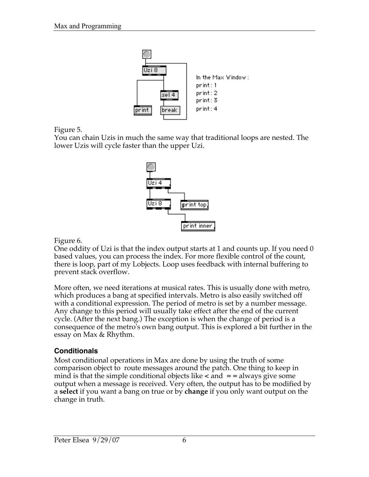

Figure 5.

You can chain Uzis in much the same way that traditional loops are nested. The lower Uzis will cycle faster than the upper Uzi.



Figure 6.

One oddity of Uzi is that the index output starts at 1 and counts up. If you need 0 based values, you can process the index. For more flexible control of the count, there is loop, part of my Lobjects. Loop uses feedback with internal buffering to prevent stack overflow.

More often, we need iterations at musical rates. This is usually done with metro, which produces a bang at specified intervals. Metro is also easily switched off with a conditional expression. The period of metro is set by a number message. Any change to this period will usually take effect after the end of the current cycle. (After the next bang.) The exception is when the change of period is a consequence of the metro's own bang output. This is explored a bit further in the essay on Max & Rhythm.

# **Conditionals**

Most conditional operations in Max are done by using the truth of some comparison object to route messages around the patch. One thing to keep in mind is that the simple conditional objects like **<** and **= =** always give some output when a message is received. Very often, the output has to be modified by a **select** if you want a bang on true or by **change** if you only want output on the change in truth.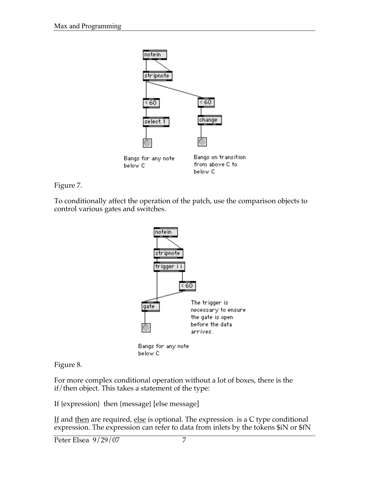

Figure 7.

To conditionally affect the operation of the patch, use the comparison objects to control various gates and switches.



Figure 8.

For more complex conditional operation without a lot of boxes, there is the if/then object. This takes a statement of the type:

If {expression} then {message} [else message]

<u>If</u> and <u>then</u> are required, <u>else</u> is optional. The expression is a C type conditional expression. The expression can refer to data from inlets by the tokens \$iN or \$fN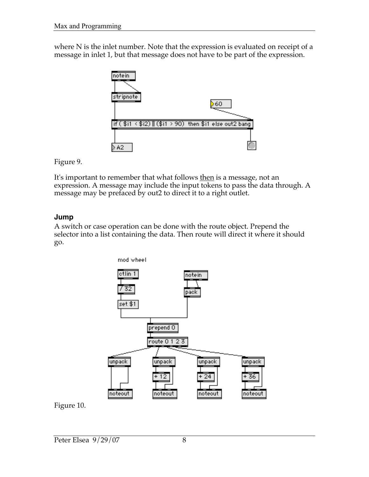where N is the inlet number. Note that the expression is evaluated on receipt of a message in inlet 1, but that message does not have to be part of the expression.



Figure 9.

It's important to remember that what follows then is a message, not an expression. A message may include the input tokens to pass the data through. A message may be prefaced by out2 to direct it to a right outlet.

## **Jump**

A switch or case operation can be done with the route object. Prepend the selector into a list containing the data. Then route will direct it where it should go.



Figure 10.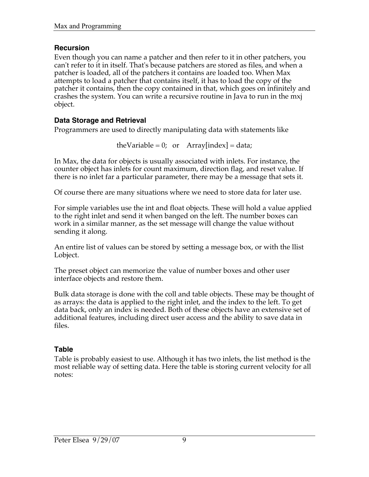# **Recursion**

Even though you can name a patcher and then refer to it in other patchers, you can't refer to it in itself. That's because patchers are stored as files, and when a patcher is loaded, all of the patchers it contains are loaded too. When Max attempts to load a patcher that contains itself, it has to load the copy of the patcher it contains, then the copy contained in that, which goes on infinitely and crashes the system. You can write a recursive routine in Java to run in the mxj object.

# **Data Storage and Retrieval**

Programmers are used to directly manipulating data with statements like

theVariable = 0; or  $Array[index] = data;$ 

In Max, the data for objects is usually associated with inlets. For instance, the counter object has inlets for count maximum, direction flag, and reset value. If there is no inlet far a particular parameter, there may be a message that sets it.

Of course there are many situations where we need to store data for later use.

For simple variables use the int and float objects. These will hold a value applied to the right inlet and send it when banged on the left. The number boxes can work in a similar manner, as the set message will change the value without sending it along.

An entire list of values can be stored by setting a message box, or with the llist Lobject.

The preset object can memorize the value of number boxes and other user interface objects and restore them.

Bulk data storage is done with the coll and table objects. These may be thought of as arrays: the data is applied to the right inlet, and the index to the left. To get data back, only an index is needed. Both of these objects have an extensive set of additional features, including direct user access and the ability to save data in files.

# **Table**

Table is probably easiest to use. Although it has two inlets, the list method is the most reliable way of setting data. Here the table is storing current velocity for all notes: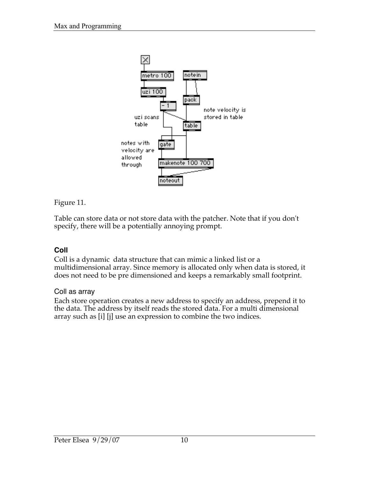

Figure 11.

Table can store data or not store data with the patcher. Note that if you don't specify, there will be a potentially annoying prompt.

# **Coll**

Coll is a dynamic data structure that can mimic a linked list or a multidimensional array. Since memory is allocated only when data is stored, it does not need to be pre dimensioned and keeps a remarkably small footprint.

#### Coll as array

Each store operation creates a new address to specify an address, prepend it to the data. The address by itself reads the stored data. For a multi dimensional array such as [i] [j] use an expression to combine the two indices.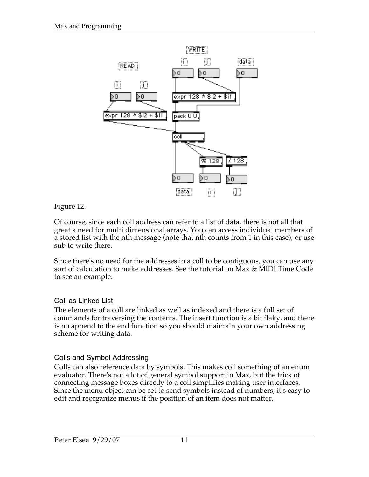

# Figure 12.

Of course, since each coll address can refer to a list of data, there is not all that great a need for multi dimensional arrays. You can access individual members of a stored list with the <u>nth</u> message (note that nth counts from 1 in this case), or use sub to write there.

Since there's no need for the addresses in a coll to be contiguous, you can use any sort of calculation to make addresses. See the tutorial on Max & MIDI Time Code to see an example.

## Coll as Linked List

The elements of a coll are linked as well as indexed and there is a full set of commands for traversing the contents. The insert function is a bit flaky, and there is no append to the end function so you should maintain your own addressing scheme for writing data.

## Colls and Symbol Addressing

Colls can also reference data by symbols. This makes coll something of an enum evaluator. There's not a lot of general symbol support in Max, but the trick of connecting message boxes directly to a coll simplifies making user interfaces. Since the menu object can be set to send symbols instead of numbers, it's easy to edit and reorganize menus if the position of an item does not matter.